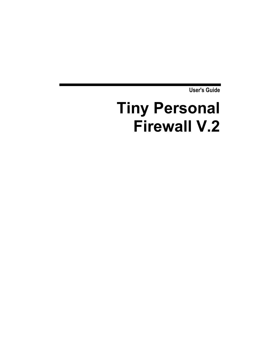**User's Guide** 

# **Tiny Personal Firewall V.2**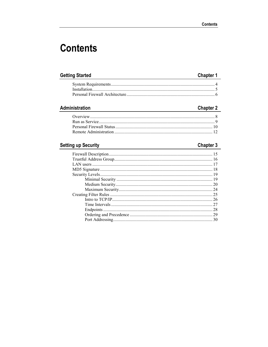## **Contents**

#### **Getting Started**

#### **Chapter 1**

#### Administration

#### **Chapter 2**

#### **Setting up Security**

#### **Chapter 3**

| 25 |
|----|
| 26 |
|    |
|    |
|    |
| 30 |
|    |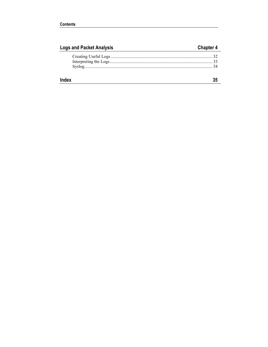| <b>Logs and Packet Analysis</b> | <b>Chapter 4</b> |
|---------------------------------|------------------|
|                                 |                  |
|                                 |                  |
|                                 |                  |
|                                 |                  |
| Index                           |                  |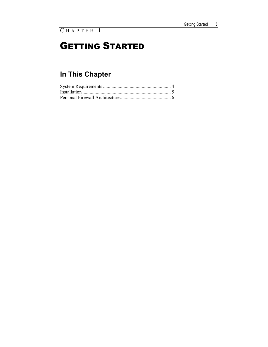## GETTING STARTED

## **In This Chapter**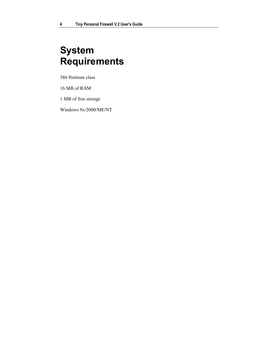## **System Requirements**

586 Pentium class

16 MB of RAM

1 MB of free storage

Windows 9x/2000/ME/NT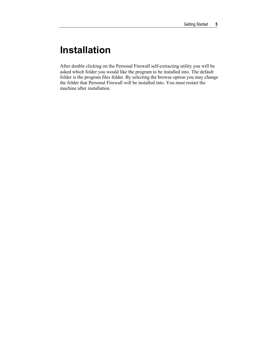### **Installation**

After double clicking on the Personal Firewall self-extracting utility you will be asked which folder you would like the program to be installed into. The default folder is the program files folder. By selecting the browse option you may change the folder that Personal Firewall will be installed into. You must restart the machine after installation.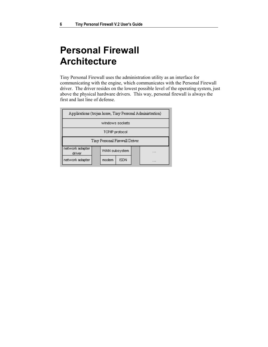## **Personal Firewall Architecture**

Tiny Personal Firewall uses the administration utility as an interface for communicating with the engine, which communicates with the Personal Firewall driver. The driver resides on the lowest possible level of the operating system, just above the physical hardware drivers. This way, personal firewall is always the first and last line of defense.

| Applications (trojan horse, Tiny Personal Administration) |               |             |   |
|-----------------------------------------------------------|---------------|-------------|---|
| windows sockets                                           |               |             |   |
| TCP/IP protocol                                           |               |             |   |
| Tiny Personal Firewall Driver                             |               |             |   |
| network adapter<br>driver                                 | WAN subsystem |             | . |
| network adapter                                           | modem         | <b>ISDN</b> | . |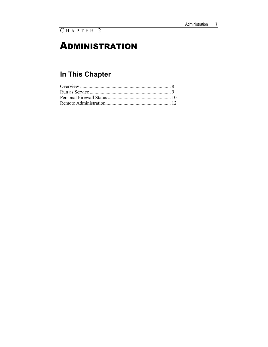### **ADMINISTRATION**

## **In This Chapter**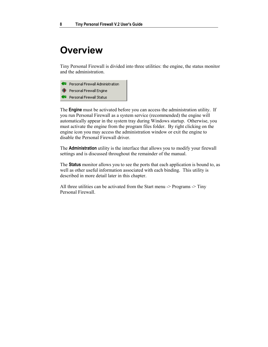### **Overview**

Tiny Personal Firewall is divided into three utilities: the engine, the status monitor and the administration.

Personal Firewall Administration Personal Firewall Engine Personal Firewall Status

The **Engine** must be activated before you can access the administration utility. If you run Personal Firewall as a system service (recommended) the engine will automatically appear in the system tray during Windows startup. Otherwise, you must activate the engine from the program files folder. By right clicking on the engine icon you may access the administration window or exit the engine to disable the Personal Firewall driver.

The **Administration** utility is the interface that allows you to modify your firewall settings and is discussed throughout the remainder of the manual.

The **Status** monitor allows you to see the ports that each application is bound to, as well as other useful information associated with each binding. This utility is described in more detail later in this chapter.

All three utilities can be activated from the Start menu -> Programs -> Tiny Personal Firewall.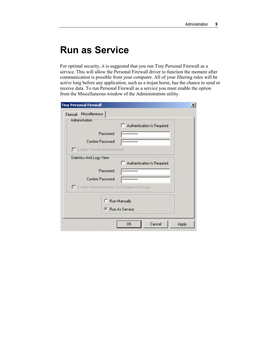### **Run as Service**

For optimal security, it is suggested that you run Tiny Personal Firewall as a service. This will allow the Personal Firewall driver to function the moment after communication is possible from your computer. All of your filtering rules will be active long before any application, such as a trojan horse, has the chance to send or receive data. To run Personal Firewall as a service you must enable the option from the Miscellaneous window of the Administration utility.

| <b>Tiny Personal Firewall</b>               |                  |               |                            | $\vert x \vert$ |
|---------------------------------------------|------------------|---------------|----------------------------|-----------------|
| Miscellaneous<br>Firewall<br>Administration |                  |               |                            |                 |
|                                             |                  |               | Authentication Is Required |                 |
|                                             | Password:        | ************* |                            |                 |
| Confirm Password:                           |                  | ************  |                            |                 |
| Enable Remote Administration                |                  |               |                            |                 |
| Statistics And Logs View                    |                  |               |                            |                 |
|                                             |                  |               | Authentication Is Required |                 |
|                                             | Password:        | ************  |                            |                 |
| Confirm Password:                           |                  | ************  |                            |                 |
| Enable Remote Access To Statistics And Logs |                  |               |                            |                 |
|                                             | C Run Manually   |               |                            |                 |
|                                             |                  |               |                            |                 |
|                                             | ● Run As Service |               |                            |                 |
|                                             |                  | OΚ            | Cancel                     | Apply           |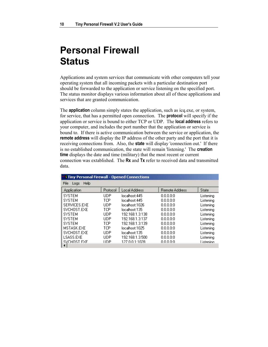### **Personal Firewall Status**

Applications and system services that communicate with other computers tell your operating system that all incoming packets with a particular destination port should be forwarded to the application or service listening on the specified port. The status monitor displays various information about all of these applications and services that are granted communication.

The **application** column simply states the application, such as icq.exe, or system, for service, that has a permitted open connection. The **protocol** will specify if the application or service is bound to either TCP or UDP. The **local address** refers to your computer, and includes the port number that the application or service is bound to. If there is active communication between the service or application, the **remote address** will display the IP address of the other party and the port that it is receiving connections from. Also, the **state** will display 'connection out.' If there is no established communication, the state will remain 'listening.' The **creation time** displays the date and time (military) that the most recent or current connection was extablished. The **Rx** and **Tx** refer to received data and transmitted data.

| <b>Ca Tiny Personal Firewall - Opened Connections</b> |          |                 |                       |           |
|-------------------------------------------------------|----------|-----------------|-----------------------|-----------|
| File<br>Help<br>Logs                                  |          |                 |                       |           |
| Application                                           | Protocol | Local Address   | <b>Remote Address</b> | State     |
| <b>SYSTEM</b>                                         | LIDP     | localhost: 445  | 0.0.0.0.0             | Listening |
| <b>SYSTEM</b>                                         | TCP      | localhost: 445  | 0.0.0.0.0             | Listening |
| SERVICES.EXE                                          | UDP      | localbost:1026. | 0.0.0.0.0             | Listening |
| SVCHOST.EXE                                           | TCP      | localhost:135   | 0.0.0.0.0             | Listening |
| <b>SYSTEM</b>                                         | UDP      | 192.168.1.3:138 | 0.0.0.0.0             | Listening |
| <b>SYSTEM</b>                                         | UDP      | 192.168.1.3:137 | 0.0.0.0.0             | Listening |
| <b>SYSTEM</b>                                         | TCP      | 192.168.1.3:139 | 0.0.0.0.0             | Listening |
| MSTASK.EXE                                            | TCP      | localhost:1025  | 0.0.0.0.0             | Listening |
| SVCHOST.EXE                                           | UDP      | localhost:135.  | 0.0.0.0.0             | Listenina |
| LSASS.EXE                                             | UDP      | 192.168.1.3:500 | 0.0.0.0.0             | Listenina |
| SVCHOST EXE                                           | HDP      | 127 A A 1·1A28  | nnnnn                 | Listening |
| ◂                                                     |          |                 |                       |           |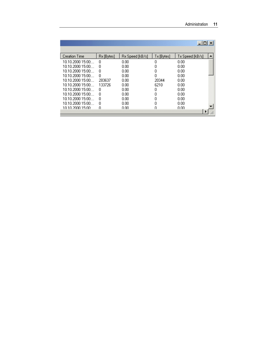|                      |            |                 |            | $ \Box$ $\times$ |  |
|----------------------|------------|-----------------|------------|------------------|--|
|                      |            |                 |            |                  |  |
| <b>Creation Time</b> | Rx [Bytes] | Rx Speed [kB/s] | Tx [Bytes] | Tx Speed [kB/s]  |  |
| $10.10.2000$ $15:00$ | n          | 0.00            | 0          | 0.00             |  |
| 10.10.2000 15:00:    | n          | 0.00            | 0          | 0.00             |  |
| 10.10.2000 15:00:    | n          | 0.00            | 0          | 0.00             |  |
| $10.10.2000\,15.00$  | n          | 0.00            | n          | 0.00             |  |
| 10.10.2000.15:00:    | 283637     | 0.00            | 20344      | 0.00             |  |
| 10.10.2000.15:00:    | 133726     | 0.00            | 6210       | 0.00             |  |
| 10.10.200015:00      | n          | 0.00            | 0          | 0.00             |  |
| 10.10.2000.15:00:    | n          | 0.00            | Ο          | 0.00             |  |
| 10.10.2000.15:00:    | 0          | 0.00            | Ω          | 0.00             |  |
| 10.10.2000.15:00:    | 0          | 0.00            | Ω          | 0.00             |  |
| 10 10 2000 15:00:    | n          | n nn            |            | n nn             |  |
|                      |            |                 |            |                  |  |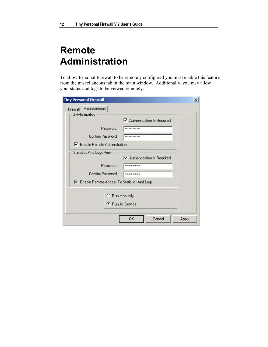### **Remote Administration**

To allow Personal Firewall to be remotely configured you must enable this feature from the miscellaneous tab in the main window. Additionally, you may allow your status and logs to be viewed remotely.

| <b>Tiny Personal Firewall</b>                 | $\vert x \vert$                           |
|-----------------------------------------------|-------------------------------------------|
| Firewall Miscellaneous<br>Administration      |                                           |
|                                               | Ø Authentication Is Required              |
| Password:                                     | ************                              |
| Confirm Password:                             | ************                              |
| <b>▽</b> Enable Remote Administration         |                                           |
| Statistics And Logs View                      |                                           |
|                                               | Ø Authentication Is Required              |
| Password:                                     | ************                              |
| Confirm Password:                             | ************                              |
| Ⅳ Enable Remote Access To Statistics And Logs |                                           |
|                                               | C Run Manually<br><b>C</b> Bun As Service |
|                                               | ΟK<br>Cancel<br>Apply                     |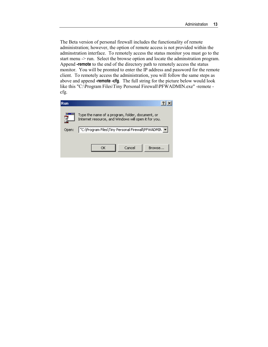The Beta version of personal firewall includes the functionality of remote administration; however, the option of remote access is not provided within the adminstration interface. To remotely access the status monitor you must go to the start menu -> run. Select the browse option and locate the administration program. Append **-remote** to the end of the directory path to remotely access the status monitor. You will be promted to enter the IP address and password for the remote client. To remotely access the administration, you will follow the same steps as above and append **-remote -cfg**. The full string for the picture below would look like this "C:\Program Files\Tiny Personal Firewall\PFWADMIN.exe" -remote cfg.

| Run   |                                                                                                          |
|-------|----------------------------------------------------------------------------------------------------------|
|       | Type the name of a program, folder, document, or<br>Internet resource, and Windows will open it for you. |
| Open: | "C:\Program Files\Tiny Personal Firewall\PFWADMIN v                                                      |
|       | Cancel<br>Browse<br>ОK                                                                                   |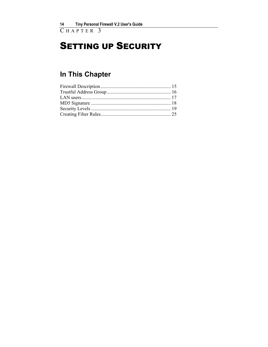C HAPTER 3

## **SETTING UP SECURITY**

### **In This Chapter**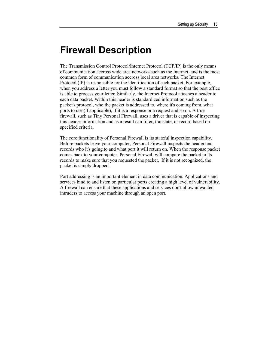### **Firewall Description**

The Transmission Control Protocol/Internet Protocol (TCP/IP) is the only means of communication accross wide area networks such as the Internet, and is the most common form of communication accross local area networks. The Internet Protocol (IP) is responsible for the identification of each packet. For example, when you address a letter you must follow a standard format so that the post office is able to process your letter. Similarly, the Internet Protocol attaches a header to each data packet. Within this header is standardized information such as the packet's protocol, who the packet is addressed to, where it's coming from, what ports to use (if applicable), if it is a response or a request and so on. A true firewall, such as Tiny Personal Firewall, uses a driver that is capable of inspecting this header information and as a result can filter, translate, or record based on specified criteria.

The core functionality of Personal Firewall is its stateful inspection capability. Before packets leave your computer, Personal Firewall inspects the header and records who it's going to and what port it will return on. When the response packet comes back to your computer, Personal Firewall will compare the packet to its records to make sure that you requested the packet. If it is not recognized, the packet is simply dropped.

Port addressing is an important element in data communication. Applications and services bind to and listen on particular ports creating a high level of vulnerability. A firewall can ensure that these applications and services don't allow unwanted intruders to access your machine through an open port.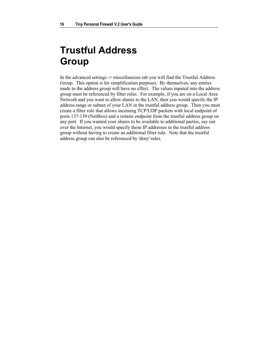### **Trustful Address Group**

In the advanced settings -> miscellaneous tab you will find the Trustful Address Group. This option is for simplification purposes. By themselves, any entries made to the address group will have no effect. The values inputed into the address group must be referenced by filter rules. For example, if you are on a Local Area Network and you want to allow shares to the LAN, then you would specify the IP address range or subnet of your LAN in the trustful address group. Then you must create a filter rule that allows incoming TCP/UDP packets with local endpoint of ports 137-139 (NetBios) and a remote endpoint from the trustful address group on any port. If you wanted your shares to be available to additional parties, say out over the Internet, you would specify those IP addresses in the trustful address group without having to create an additional filter rule. Note that the trustful address group can also be referenced by 'deny' rules.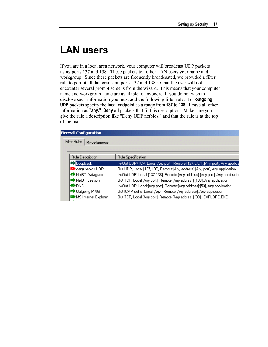### **LAN users**

If you are in a local area network, your computer will broadcast UDP packets using ports 137 and 138. These packets tell other LAN users your name and workgroup. Since these packets are frequently broadcasted, we provided a filter rule to permit all datagrams on ports 137 and 138 so that the user will not encounter several prompt screens from the wizard. This means that your computer name and workgroup name are available to anybody. If you do not wish to disclose such information you must add the following filter rule: For **outgoing UDP** packets specify the **local endpoint** as a **range from 137 to 138**. Leave all other information as **"any." Deny** all packets that fit this description. Make sure you give the rule a description like "Deny UDP netbios," and that the rule is at the top of the list.

#### **Firewall Configuration**

|                   | Filter Rules  <br>Miscellaneous    |                                                                                |
|-------------------|------------------------------------|--------------------------------------------------------------------------------|
|                   |                                    |                                                                                |
|                   | Rule Description                   | Rule Specification                                                             |
| <b>D</b> Loopback |                                    | In/Out UDP/TCP, Local:[Any port], Remote:[127.0.0.1]:[Any port], Any applica   |
|                   | <sup>■■</sup> deny nebios UDP      | Out UDP, Local: [137,138], Remote: [Any address]: [Any port], Any application. |
|                   | <b><sup>◆</sup></b> NetBT Datagram | In/Out UDP, Local:[137,138], Remote:[Any address]:[Any port], Any applicatior  |
|                   | ■ NetBT Session                    | Out TCP, Local: [Any port], Remote: [Any address]: [139], Any application.     |
|                   | <b>OD</b> NS                       | In/Out UDP, Local:[Any port], Remote:[Any address]:[53], Any application.      |
|                   | ■ Outgoing PING                    | Out ICMP Echo, Local:[Any], Remote:[Any address], Any application.             |
|                   | MS Internet Explorer               | Out TCP, Local: [Any port], Remote: [Any address]: [80], IEXPLORE.EXE          |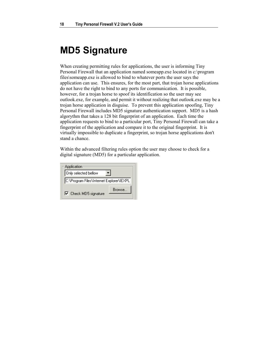### **MD5 Signature**

When creating permitting rules for applications, the user is informing Tiny Personal Firewall that an application named someapp.exe located in c:\program files\someapp.exe is allowed to bind to whatever ports the user says the application can use. This ensures, for the most part, that trojan horse applications do not have the right to bind to any ports for communication. It is possible, however, for a trojan horse to spoof its identification so the user may see outlook.exe, for example, and permit it without realizing that outlook.exe may be a trojan horse application in disguise. To prevent this application spoofing, Tiny Personal Firewall includes MD5 signature authentication support. MD5 is a hash algorythm that takes a 128 bit fingerprint of an application. Each time the application requests to bind to a particular port, Tiny Personal Firewall can take a fingerprint of the application and compare it to the original fingerprint. It is virtually impossible to duplicate a fingerprint, so trojan horse applications don't stand a chance.

Within the advanced filtering rules option the user may choose to check for a digital signature (MD5) for a particular application.

| <b>Application</b>                       |        |  |
|------------------------------------------|--------|--|
| Only selected bellow                     |        |  |
| C:\Program Files\Internet Explorer\IEXPL |        |  |
| $\nabla$ Check MD5 signature             | Browse |  |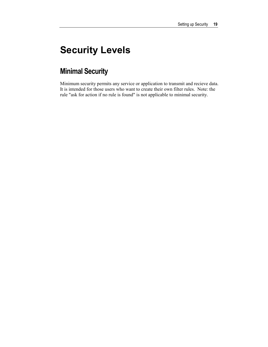## **Security Levels**

### **Minimal Security**

Minimum security permits any service or application to transmit and recieve data. It is intended for those users who want to create their own filter rules. Note: the rule "ask for action if no rule is found" is not applicable to minimal security.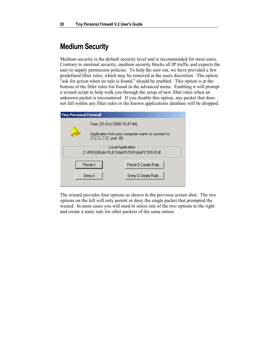### **Medium Security**

Medium security is the default security level and is recommended for most users. Contrary to minimal security, medium security blocks all IP traffic and expects the user to supply permission policies. To help the user out, we have provided a few predefined filter rules, which may be removed at the users discretion. The option "ask for action when no rule is found," should be enabled. This option is at the bottom of the fitler rules list found in the advanced menu. Enabling it will prompt a wizard script to help walk you through the setup of new filter rules when an unknown packet is encountered. If you disable this option, any packet that does not fall within any filter rules or the known applications database will be dropped.

| <b>Tiny Personal Firewall</b>                             |                              |                                                    |
|-----------------------------------------------------------|------------------------------|----------------------------------------------------|
|                                                           | Time: [31/Dct/2000 16:47:44] |                                                    |
|                                                           | 216.53.0.92, port: 80        | Application from your computer wants to connect to |
| Local Application<br>C:\PROGRAM FILES\NAPSTER\NAPSTER.EXE |                              |                                                    |
| Permit & Create Rule<br>Permit it                         |                              |                                                    |
|                                                           | Deny it                      | Deny & Create Rule                                 |

The wizard provides four options as shown in the previous screen shot. The two options on the left will only permit or deny the single packet that prompted the wizard. In most cases you will need to select one of the two options to the right and create a static rule for other packets of the same nature.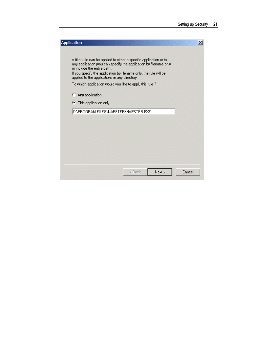| <b>Application</b>                                                                                                                                                                                                                                                                             | $\vert x \vert$ |
|------------------------------------------------------------------------------------------------------------------------------------------------------------------------------------------------------------------------------------------------------------------------------------------------|-----------------|
| A filter rule can be applied to either a specific application or to<br>any application (you can specify the application by filename only<br>or include the entire path).<br>If you specify the application by filename only, the rule will be<br>applied to the applications in any directory. |                 |
| To which application would you like to apply this rule ?                                                                                                                                                                                                                                       |                 |
| C Any application                                                                                                                                                                                                                                                                              |                 |
| This application only<br>G.                                                                                                                                                                                                                                                                    |                 |
| C:\PROGRAM FILES\NAPSTER\NAPSTER.EXE                                                                                                                                                                                                                                                           |                 |
|                                                                                                                                                                                                                                                                                                |                 |
|                                                                                                                                                                                                                                                                                                |                 |
|                                                                                                                                                                                                                                                                                                |                 |
|                                                                                                                                                                                                                                                                                                |                 |
|                                                                                                                                                                                                                                                                                                |                 |
| Next<br>< Back                                                                                                                                                                                                                                                                                 | Cancel          |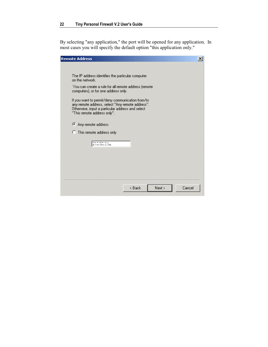By selecting "any application," the port will be opened for any application. In most cases you will specify the default option "this application only."

| <b>Remote Address</b><br>$\mathsf{x}$                                                                                                                                                   |
|-----------------------------------------------------------------------------------------------------------------------------------------------------------------------------------------|
|                                                                                                                                                                                         |
| The IP address identifies the particular computer<br>on the network.                                                                                                                    |
| You can create a rule for all remote address (remote)<br>computers), or for one address only.                                                                                           |
| If you want to permit/deny communication from/to<br>any remote address, select "Any remote address".<br>Otherwise, input a particular address and select<br>"This remote address only". |
| Any remote address                                                                                                                                                                      |
| <b>C</b> This remote address only                                                                                                                                                       |
| 210.50.0.92                                                                                                                                                                             |
|                                                                                                                                                                                         |
|                                                                                                                                                                                         |
| Next ><br>Cancel<br>< Back                                                                                                                                                              |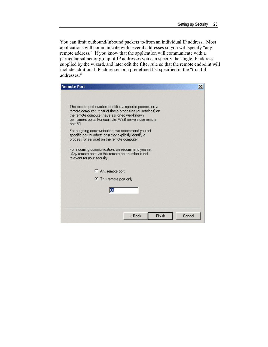You can limit outbound/inbound packets to/from an individual IP address. Most applications will communicate with several addresses so you will specify "any remote address." If you know that the application will communicate with a particular subnet or group of IP addresses you can specify the single IP address supplied by the wizard, and later edit the filter rule so that the remote endpoint will include additional IP addresses or a predefined list specified in the "trustful addresses."

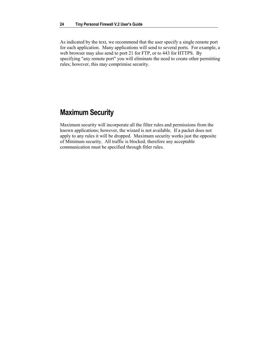As indicated by the text, we recommend that the user specify a single remote port for each application. Many applications will send to several ports. For example, a web browser may also send to port 21 for FTP, or to 443 for HTTPS. By specifying "any remote port" you will eliminate the need to create other permitting rules; however, this may comprimise security.

### **Maximum Security**

Maximum security will incorporate all the filter rules and permissions from the known applications; however, the wizard is not available. If a packet does not apply to any rules it will be dropped. Maximum security works just the opposite of Minimum security. All traffic is blocked, therefore any acceptable communication must be specified through fitler rules.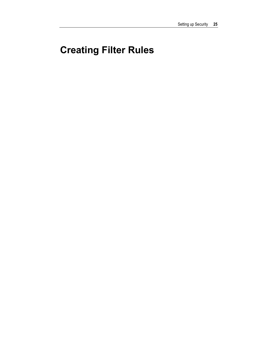## **Creating Filter Rules**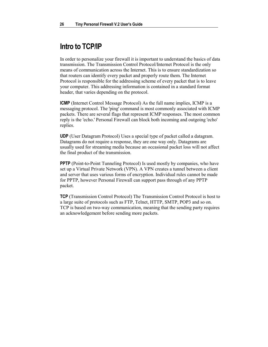### **Intro to TCP/IP**

In order to personalize your firewall it is important to understand the basics of data transmission. The Transmission Control Protocol/Internet Protocol is the only means of communication across the Internet. This is to ensure standardization so that routers can identify every packet and properly route them. The Internet Protocol is responsible for the addressing scheme of every packet that is to leave your computer. This addressing information is contained in a standard format header, that varies depending on the protocol.

**ICMP** (Internet Control Message Protocol) As the full name implies, ICMP is a messaging protocol. The 'ping' command is most commonly associated with ICMP packets. There are several flags that represent ICMP responses. The most common reply is the 'echo.' Personal Firewall can block both incoming and outgoing 'echo' replies.

**UDP** (User Datagram Protocol) Uses a special type of packet called a datagram. Datagrams do not require a response, they are one way only. Datagrams are usually used for streaming media because an occasional packet loss will not affect the final product of the transmission.

**PPTP** (Point-to-Point Tunneling Protocol) Is used mostly by companies, who have set up a Virtual Private Network (VPN). A VPN creates a tunnel between a client and server that uses various forms of encryption. Individual rules cannot be made for PPTP, however Personal Firewall can support pass through of any PPTP packet.

**TCP** (Transmission Control Protocol) The Transmission Control Protocol is host to a large suite of protocols such as FTP, Telnet, HTTP, SMTP, POP3 and so on. TCP is based on two-way communication, meaning that the sending party requires an acknowledgement before sending more packets.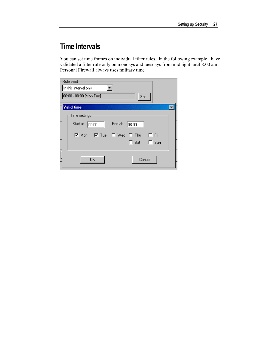### **Time Intervals**

You can set time frames on individual filter rules. In the following example I have validated a filter rule only on mondays and tuesdays from midnight until 8:00 a.m. Personal Firewall always uses military time.

| Rule valid                                                |  |
|-----------------------------------------------------------|--|
| In this interval only                                     |  |
| 00:00 - 08:00 [Mon,Tue]<br>Set                            |  |
| <b>Valid time</b>                                         |  |
| Time settings                                             |  |
| End at:<br>Start at:<br>00:00<br>08:00                    |  |
| $\nabla$ Tue<br>$\nabla$ Mon<br>$\Box$ Fri<br>□ Wed □ Thu |  |
| $\Box$ Sat $\Box$ Sun                                     |  |
|                                                           |  |
| <b>OK</b><br>Cancel                                       |  |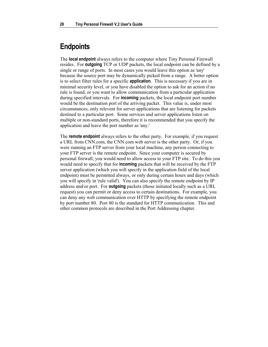### **Endpoints**

The **local endpoint** always refers to the computer where Tiny Personal Firewall resides. For **outgoing** TCP or UDP packets, the local endpoint can be defined by a single or range of ports. In most cases you would leave this option as 'any' because the source port may be dynamically picked from a range. A better option is to select filter rules for a specific **application**. This is necessary if you are in minimal security level, or you have disabled the option to ask for an action if no rule is found, or you want to allow communication from a particular application during specified intervals. For **incoming** packets, the local endpoint port number would be the destination port of the arriving packet. This value is, under most circumstances, only relevent for server applications that are listening for packets destined to a particular port. Some services and server applications listen on multiple or non-standard ports, therefore it is recommended that you specify the application and leave the port number as 'any.'

The **remote endpoint** always refers to the other party. For example, if you request a URL from CNN.com, the CNN.com web server is the other party. Or, if you were running an FTP server from your local machine, any person connecting to your FTP server is the remote endpoint. Since your computer is secured by personal firewall, you would need to allow access to your FTP site. To do this you would need to specify that for **incoming** packets that will be received by the FTP server application (which you will specify in the application field of the local endpoint) must be permitted always, or only during certain hours and days (which you will specify in 'rule valid'). You can also specify the remote endpoint by IP address and/or port. For **outgoing** packets (those initiated locally such as a URL request) you can permit or deny access to certain destinations. For example, you can deny any web communication over HTTP by specifying the remote endpoint by port number 80. Port 80 is the standard for HTTP communication. This and other common protocols are described in the Port Addressing chapter.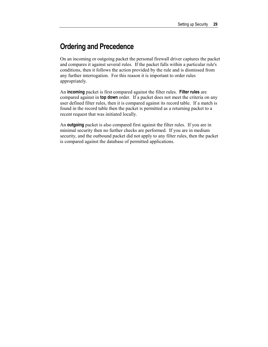### **Ordering and Precedence**

On an incoming or outgoing packet the personal firewall driver captures the packet and compares it against several rules. If the packet falls within a particular rule's conditions, then it follows the action provided by the rule and is dismissed from any further interrogation. For this reason it is important to order rules appropriately.

An **incoming** packet is first compared against the filter rules. **Filter rules** are compared against in **top down** order. If a packet does not meet the criteria on any user defined filter rules, then it is compared against its record table. If a match is found in the record table then the packet is permitted as a returning packet to a recent request that was initiated locally.

An **outgoing** packet is also compared first against the filter rules. If you are in minimal security then no further checks are performed. If you are in medium security, and the outbound packet did not apply to any filter rules, then the packet is compared against the database of permitted applications.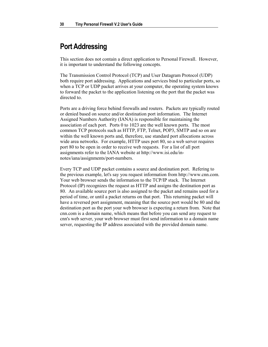#### **Port Addressing**

This section does not contain a direct application to Personal Firewall. However, it is important to understand the following concepts.

The Transmission Control Protocol (TCP) and User Datagram Protocol (UDP) both require port addressing. Applications and services bind to particular ports, so when a TCP or UDP packet arrives at your computer, the operating system knows to forward the packet to the application listening on the port that the packet was directed to.

Ports are a driving force behind firewalls and routers. Packets are typically routed or denied based on source and/or destination port information. The Internet Assigned Numbers Authority (IANA) is responsible for maintaining the association of each port. Ports 0 to 1023 are the well known ports. The most common TCP protocols such as HTTP, FTP, Telnet, POP3, SMTP and so on are within the well known ports and, therefore, use standard port allocations across wide area networks. For example, HTTP uses port 80, so a web server requires port 80 to be open in order to receive web requests. For a list of all port assignments refer to the IANA website at http://www.isi.edu/innotes/iana/assignments/port-numbers.

Every TCP and UDP packet contains a source and destination port. Refering to the previous example, let's say you request information from http://www.cnn.com. Your web browser sends the information to the TCP/IP stack. The Internet Protocol (IP) recognizes the request as HTTP and assigns the destination port as 80. An available source port is also assigned to the packet and remains used for a period of time, or until a packet returns on that port. This returning packet will have a reversed port assignment, meaning that the source port would be 80 and the destination port as the port your web browser is expecting a return from. Note that cnn.com is a domain name, which means that before you can send any request to cnn's web server, your web browser must first send information to a domain name server, requesting the IP address associated with the provided domain name.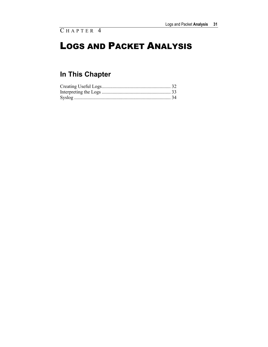## LOGS AND PACKET ANALYSIS

### **In This Chapter**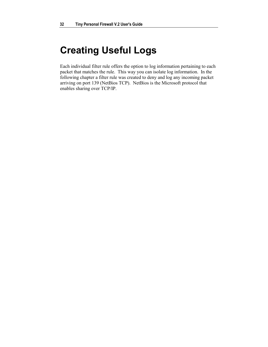### **Creating Useful Logs**

Each individual filter rule offers the option to log information pertaining to each packet that matches the rule. This way you can isolate log information. In the following chapter a filter rule was created to deny and log any incoming packet arriving on port 139 (NetBios TCP). NetBios is the Microsoft protocol that enables sharing over TCP/IP.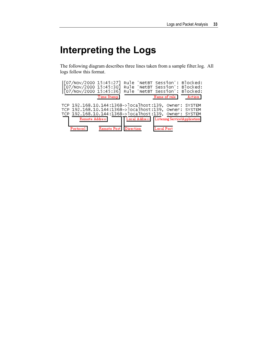## **Interpreting the Logs**

The following diagram describes three lines taken from a sample filter.log. All logs follow this format.

| [07/Nov/2000 15:45:27]<br>[07/Nov/2000 15:45:30]<br>[07/Nov/2000 15:45:36]                                                    |             | Rule<br>Rule.<br>Rule. | 'NetBT Session': Blocked:<br>'NetBT Session': Blocked:<br>'NetBT Session': Blocked: |                                                 |
|-------------------------------------------------------------------------------------------------------------------------------|-------------|------------------------|-------------------------------------------------------------------------------------|-------------------------------------------------|
|                                                                                                                               | Time Stamp  |                        | Name of rule I                                                                      | Action                                          |
| TCP 192.168.10.144:1368->localhost:139,<br>TCP 192.168.10.144:1368->localhost:139,<br>TCP 192.168.10.144:1368->localhost:139, |             |                        |                                                                                     | Owner: SYSTEM<br>Owner: SYSTEM<br>Owner: SYSTEM |
| <b>Remote Address</b>                                                                                                         |             | Local Address          | <b>Listening Service\Application</b>                                                |                                                 |
| Protocol                                                                                                                      | Remote Port | Direction              | Local Port                                                                          |                                                 |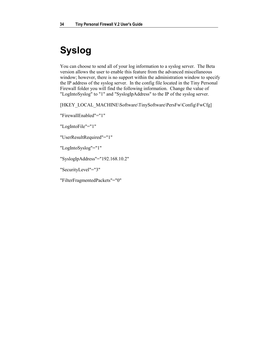## **Syslog**

You can choose to send all of your log information to a syslog server. The Beta version allows the user to enable this feature from the advanced miscellaneous window; however, there is no support within the administration window to specify the IP address of the syslog server. In the config file located in the Tiny Personal Firewall folder you will find the following information. Change the value of "LogIntoSyslog" to "1" and "SyslogIpAddress" to the IP of the syslog server.

[HKEY\_LOCAL\_MACHINE\Software\TinySoftware\PersFw\Config\FwCfg]

"FirewallEnabled"="1"

"LogIntoFile"="1"

"UserResultRequired"="1"

"LogIntoSyslog"="1"

"SyslogIpAddress"="192.168.10.2"

"SecurityLevel"="3"

"FilterFragmentedPackets"="0"